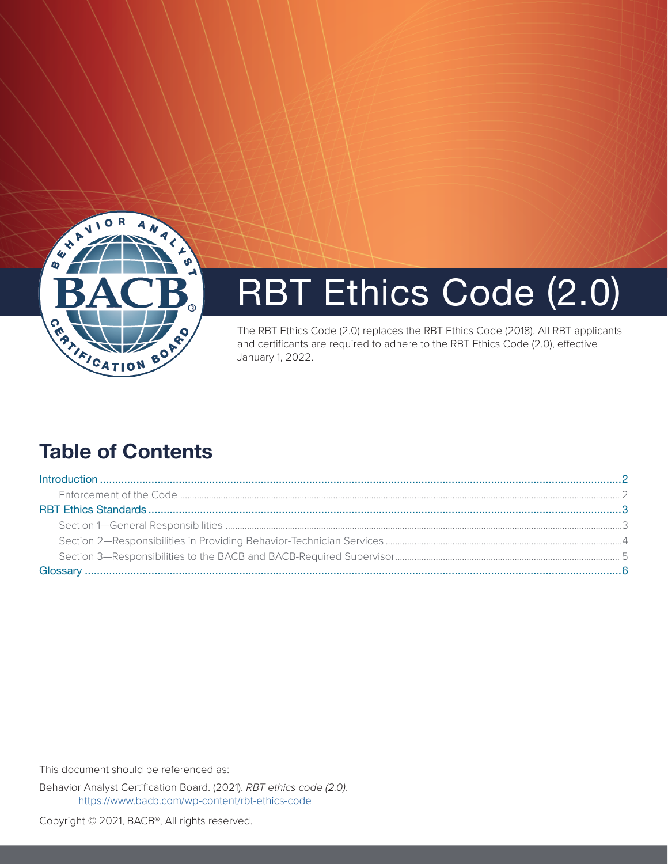

# RBT Ethics Code (2.0)

The RBT Ethics Code (2.0) replaces the RBT Ethics Code (2018). All RBT applicants and certificants are required to adhere to the RBT Ethics Code (2.0), effective January 1, 2022.

## Table of Contents

This document should be referenced as:

Behavior Analyst Certification Board. (2021). *RBT ethics code (2.0).* <https://www.bacb.com/wp-content/rbt-ethics-code>

Copyright © 2021, BACB®, All rights reserved.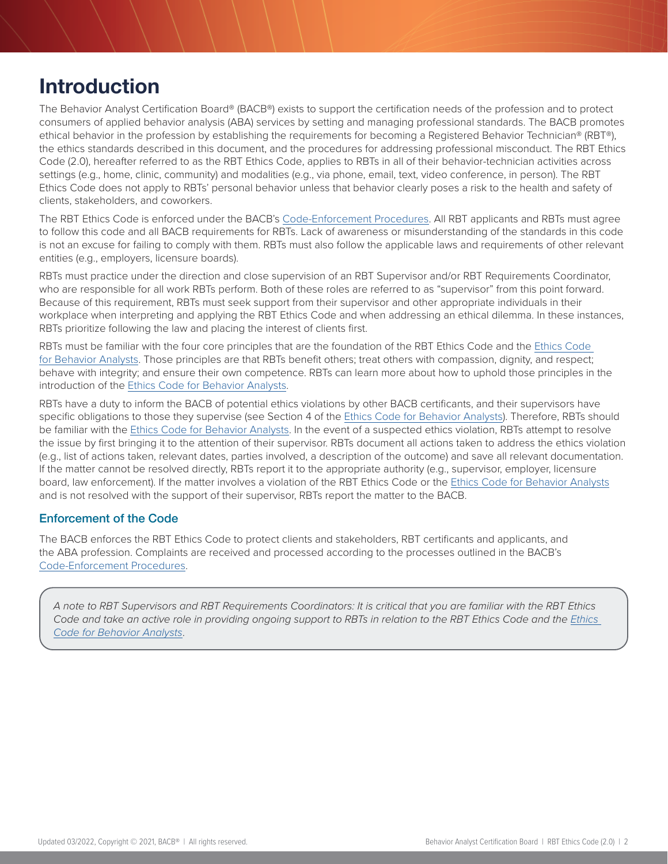### <span id="page-1-0"></span>Introduction

The Behavior Analyst Certification Board® (BACB®) exists to support the certification needs of the profession and to protect consumers of applied behavior analysis (ABA) services by setting and managing professional standards. The BACB promotes ethical behavior in the profession by establishing the requirements for becoming a Registered Behavior Technician® (RBT®), the ethics standards described in this document, and the procedures for addressing professional misconduct. The RBT Ethics Code (2.0), hereafter referred to as the RBT Ethics Code, applies to RBTs in all of their behavior-technician activities across settings (e.g., home, clinic, community) and modalities (e.g., via phone, email, text, video conference, in person). The RBT Ethics Code does not apply to RBTs' personal behavior unless that behavior clearly poses a risk to the health and safety of clients, stakeholders, and coworkers.

The RBT Ethics Code is enforced under the BACB's [Code-Enforcement Procedures](https://www.bacb.com/wp-content/BACB-Code-Enforcement-Procedures). All RBT applicants and RBTs must agree to follow this code and all BACB requirements for RBTs. Lack of awareness or misunderstanding of the standards in this code is not an excuse for failing to comply with them. RBTs must also follow the applicable laws and requirements of other relevant entities (e.g., employers, licensure boards).

RBTs must practice under the direction and close supervision of an RBT Supervisor and/or RBT Requirements Coordinator, who are responsible for all work RBTs perform. Both of these roles are referred to as "supervisor" from this point forward. Because of this requirement, RBTs must seek support from their supervisor and other appropriate individuals in their workplace when interpreting and applying the RBT Ethics Code and when addressing an ethical dilemma. In these instances, RBTs prioritize following the law and placing the interest of clients first.

RBTs must be familiar with the four core principles that are the foundation of the RBT Ethics Code and the [Ethics Code](https://www.bacb.com/wp-content/bacb-compliance-code-future)  [for Behavior Analysts.](https://www.bacb.com/wp-content/bacb-compliance-code-future) Those principles are that RBTs benefit others; treat others with compassion, dignity, and respect; behave with integrity; and ensure their own competence. RBTs can learn more about how to uphold those principles in the introduction of the [Ethics Code for Behavior Analysts.](https://www.bacb.com/wp-content/bacb-compliance-code-future#Introduction)

RBTs have a duty to inform the BACB of potential ethics violations by other BACB certificants, and their supervisors have specific obligations to those they supervise (see Section 4 of the [Ethics Code for Behavior Analysts\)](https://www.bacb.com/wp-content/bacb-compliance-code-future). Therefore, RBTs should be familiar with the [Ethics Code for Behavior Analysts.](https://www.bacb.com/wp-content/bacb-compliance-code-future) In the event of a suspected ethics violation, RBTs attempt to resolve the issue by first bringing it to the attention of their supervisor. RBTs document all actions taken to address the ethics violation (e.g., list of actions taken, relevant dates, parties involved, a description of the outcome) and save all relevant documentation. If the matter cannot be resolved directly, RBTs report it to the appropriate authority (e.g., supervisor, employer, licensure board, law enforcement). If the matter involves a violation of the RBT Ethics Code or the [Ethics Code for Behavior Analysts](https://www.bacb.com/wp-content/bacb-compliance-code-future) and is not resolved with the support of their supervisor, RBTs report the matter to the BACB.

#### Enforcement of the Code

The BACB enforces the RBT Ethics Code to protect clients and stakeholders, RBT certificants and applicants, and the ABA profession. Complaints are received and processed according to the processes outlined in the BACB's [Code-Enforcement Procedures](https://www.bacb.com/wp-content/BACB-Code-Enforcement-Procedures).

*A note to RBT Supervisors and RBT Requirements Coordinators: It is critical that you are familiar with the RBT Ethics Code and take an active role in providing ongoing support to RBTs in relation to the RBT [Ethics](https://www.bacb.com/wp-content/bacb-compliance-code-future) Code and the Ethics [Code for Behavior Analysts](https://www.bacb.com/wp-content/bacb-compliance-code-future)*.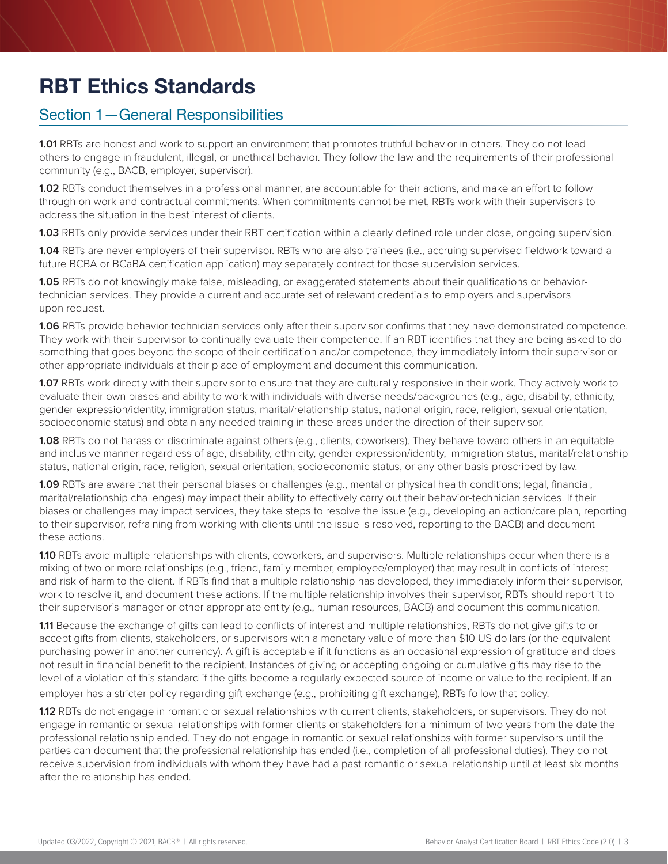# <span id="page-2-0"></span>RBT Ethics Standards

### Section 1—General Responsibilities

**1.01** RBTs are honest and work to support an environment that promotes truthful behavior in others. They do not lead others to engage in fraudulent, illegal, or unethical behavior. They follow the law and the requirements of their professional community (e.g., BACB, employer, supervisor).

**1.02** RBTs conduct themselves in a professional manner, are accountable for their actions, and make an effort to follow through on work and contractual commitments. When commitments cannot be met, RBTs work with their supervisors to address the situation in the best interest of clients.

**1.03** RBTs only provide services under their RBT certification within a clearly defined role under close, ongoing supervision.

**1.04** RBTs are never employers of their supervisor. RBTs who are also trainees (i.e., accruing supervised fieldwork toward a future BCBA or BCaBA certification application) may separately contract for those supervision services.

**1.05** RBTs do not knowingly make false, misleading, or exaggerated statements about their qualifications or behaviortechnician services. They provide a current and accurate set of relevant credentials to employers and supervisors upon request.

**1.06** RBTs provide behavior-technician services only after their supervisor confirms that they have demonstrated competence. They work with their supervisor to continually evaluate their competence. If an RBT identifies that they are being asked to do something that goes beyond the scope of their certification and/or competence, they immediately inform their supervisor or other appropriate individuals at their place of employment and document this communication.

**1.07** RBTs work directly with their supervisor to ensure that they are culturally responsive in their work. They actively work to evaluate their own biases and ability to work with individuals with diverse needs/backgrounds (e.g., age, disability, ethnicity, gender expression/identity, immigration status, marital/relationship status, national origin, race, religion, sexual orientation, socioeconomic status) and obtain any needed training in these areas under the direction of their supervisor.

**1.08** RBTs do not harass or discriminate against others (e.g., clients, coworkers). They behave toward others in an equitable and inclusive manner regardless of age, disability, ethnicity, gender expression/identity, immigration status, marital/relationship status, national origin, race, religion, sexual orientation, socioeconomic status, or any other basis proscribed by law.

**1.09** RBTs are aware that their personal biases or challenges (e.g., mental or physical health conditions; legal, financial, marital/relationship challenges) may impact their ability to effectively carry out their behavior-technician services. If their biases or challenges may impact services, they take steps to resolve the issue (e.g., developing an action/care plan, reporting to their supervisor, refraining from working with clients until the issue is resolved, reporting to the BACB) and document these actions.

**1.10** RBTs avoid multiple relationships with clients, coworkers, and supervisors. Multiple relationships occur when there is a mixing of two or more relationships (e.g., friend, family member, employee/employer) that may result in conflicts of interest and risk of harm to the client. If RBTs find that a multiple relationship has developed, they immediately inform their supervisor, work to resolve it, and document these actions. If the multiple relationship involves their supervisor, RBTs should report it to their supervisor's manager or other appropriate entity (e.g., human resources, BACB) and document this communication.

**1.11** Because the exchange of gifts can lead to conflicts of interest and multiple relationships, RBTs do not give gifts to or accept gifts from clients, stakeholders, or supervisors with a monetary value of more than \$10 US dollars (or the equivalent purchasing power in another currency). A gift is acceptable if it functions as an occasional expression of gratitude and does not result in financial benefit to the recipient. Instances of giving or accepting ongoing or cumulative gifts may rise to the level of a violation of this standard if the gifts become a regularly expected source of income or value to the recipient. If an employer has a stricter policy regarding gift exchange (e.g., prohibiting gift exchange), RBTs follow that policy.

**1.12** RBTs do not engage in romantic or sexual relationships with current clients, stakeholders, or supervisors. They do not engage in romantic or sexual relationships with former clients or stakeholders for a minimum of two years from the date the professional relationship ended. They do not engage in romantic or sexual relationships with former supervisors until the parties can document that the professional relationship has ended (i.e., completion of all professional duties). They do not receive supervision from individuals with whom they have had a past romantic or sexual relationship until at least six months after the relationship has ended.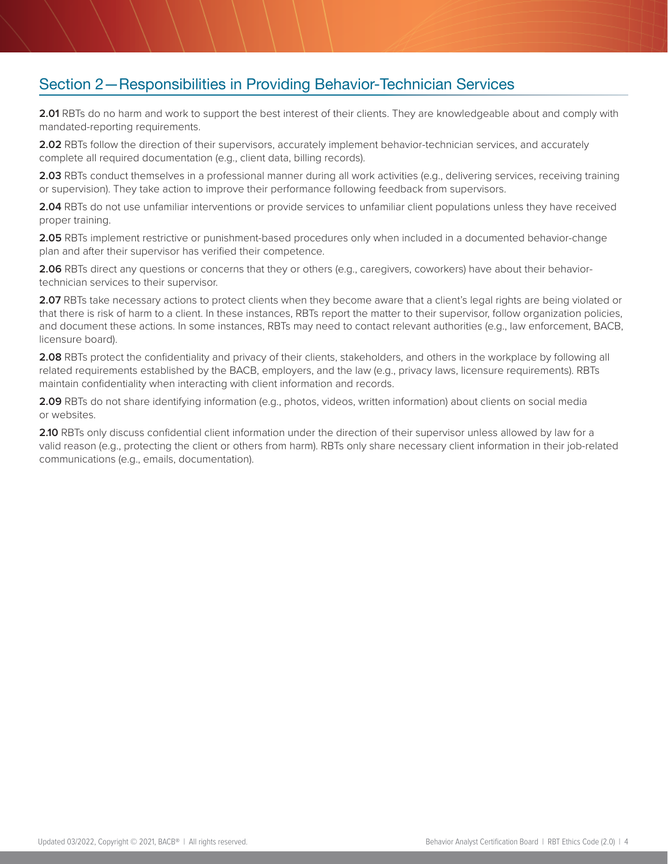### <span id="page-3-0"></span>Section 2—Responsibilities in Providing Behavior-Technician Services

**2.01** RBTs do no harm and work to support the best interest of their clients. They are knowledgeable about and comply with mandated-reporting requirements.

**2.02** RBTs follow the direction of their supervisors, accurately implement behavior-technician services, and accurately complete all required documentation (e.g., client data, billing records).

**2.03** RBTs conduct themselves in a professional manner during all work activities (e.g., delivering services, receiving training or supervision). They take action to improve their performance following feedback from supervisors.

**2.04** RBTs do not use unfamiliar interventions or provide services to unfamiliar client populations unless they have received proper training.

**2.05** RBTs implement restrictive or punishment-based procedures only when included in a documented behavior-change plan and after their supervisor has verified their competence.

**2.06** RBTs direct any questions or concerns that they or others (e.g., caregivers, coworkers) have about their behaviortechnician services to their supervisor.

**2.07** RBTs take necessary actions to protect clients when they become aware that a client's legal rights are being violated or that there is risk of harm to a client. In these instances, RBTs report the matter to their supervisor, follow organization policies, and document these actions. In some instances, RBTs may need to contact relevant authorities (e.g., law enforcement, BACB, licensure board).

**2.08** RBTs protect the confidentiality and privacy of their clients, stakeholders, and others in the workplace by following all related requirements established by the BACB, employers, and the law (e.g., privacy laws, licensure requirements). RBTs maintain confidentiality when interacting with client information and records.

**2.09** RBTs do not share identifying information (e.g., photos, videos, written information) about clients on social media or websites.

**2.10** RBTs only discuss confidential client information under the direction of their supervisor unless allowed by law for a valid reason (e.g., protecting the client or others from harm). RBTs only share necessary client information in their job-related communications (e.g., emails, documentation).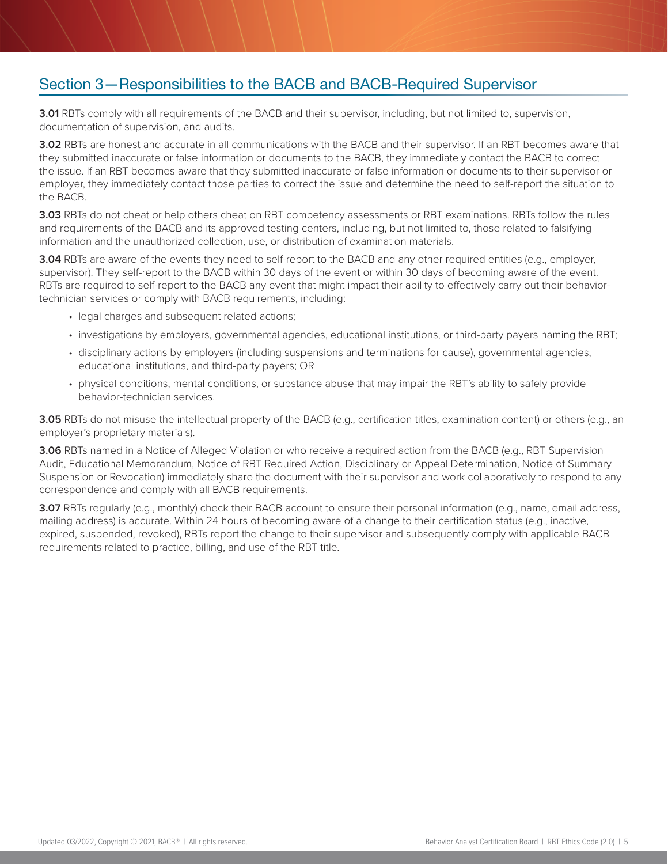### <span id="page-4-0"></span>Section 3—Responsibilities to the BACB and BACB-Required Supervisor

**3.01** RBTs comply with all requirements of the BACB and their supervisor, including, but not limited to, supervision, documentation of supervision, and audits.

**3.02** RBTs are honest and accurate in all communications with the BACB and their supervisor. If an RBT becomes aware that they submitted inaccurate or false information or documents to the BACB, they immediately contact the BACB to correct the issue. If an RBT becomes aware that they submitted inaccurate or false information or documents to their supervisor or employer, they immediately contact those parties to correct the issue and determine the need to self-report the situation to the BACB.

**3.03** RBTs do not cheat or help others cheat on RBT competency assessments or RBT examinations. RBTs follow the rules and requirements of the BACB and its approved testing centers, including, but not limited to, those related to falsifying information and the unauthorized collection, use, or distribution of examination materials.

**3.04** RBTs are aware of the events they need to self-report to the BACB and any other required entities (e.g., employer, supervisor). They self-report to the BACB within 30 days of the event or within 30 days of becoming aware of the event. RBTs are required to self-report to the BACB any event that might impact their ability to effectively carry out their behaviortechnician services or comply with BACB requirements, including:

- legal charges and subsequent related actions;
- investigations by employers, governmental agencies, educational institutions, or third-party payers naming the RBT;
- disciplinary actions by employers (including suspensions and terminations for cause), governmental agencies, educational institutions, and third-party payers; OR
- physical conditions, mental conditions, or substance abuse that may impair the RBT's ability to safely provide behavior-technician services.

**3.05** RBTs do not misuse the intellectual property of the BACB (e.g., certification titles, examination content) or others (e.g., an employer's proprietary materials).

**3.06** RBTs named in a Notice of Alleged Violation or who receive a required action from the BACB (e.g., RBT Supervision Audit, Educational Memorandum, Notice of RBT Required Action, Disciplinary or Appeal Determination, Notice of Summary Suspension or Revocation) immediately share the document with their supervisor and work collaboratively to respond to any correspondence and comply with all BACB requirements.

**3.07** RBTs regularly (e.g., monthly) check their BACB account to ensure their personal information (e.g., name, email address, mailing address) is accurate. Within 24 hours of becoming aware of a change to their certification status (e.g., inactive, expired, suspended, revoked), RBTs report the change to their supervisor and subsequently comply with applicable BACB requirements related to practice, billing, and use of the RBT title.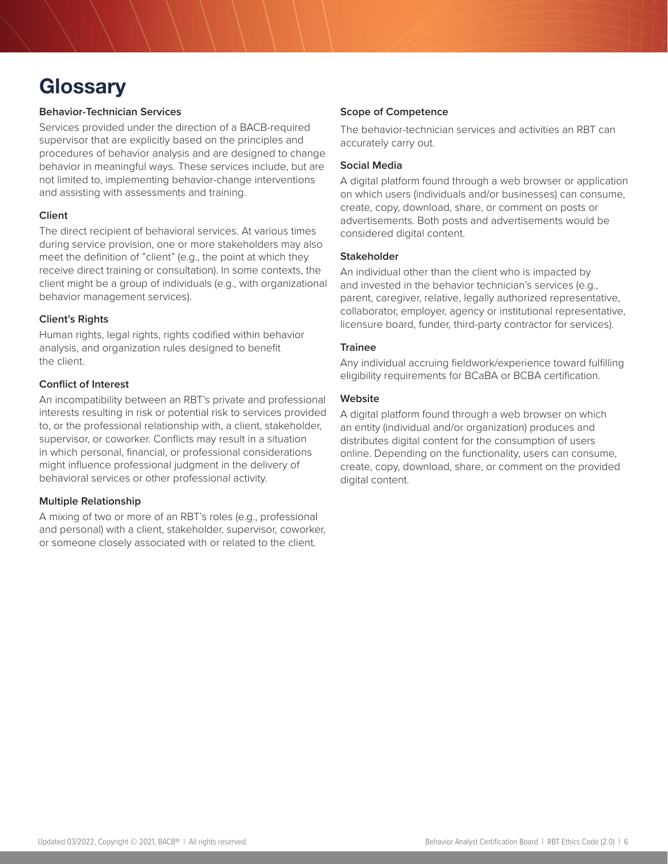# <span id="page-5-0"></span>**Glossary**

#### **Behavior-Technician Services**

Services provided under the direction of a BACB-required supervisor that are explicitly based on the principles and procedures of behavior analysis and are designed to change behavior in meaningful ways. These services include, but are not limited to, implementing behavior-change interventions and assisting with assessments and training.

#### **Client**

The direct recipient of behavioral services. At various times during service provision, one or more stakeholders may also meet the definition of "client" (e.g., the point at which they receive direct training or consultation). In some contexts, the client might be a group of individuals (e.g., with organizational behavior management services).

#### **Client's Rights**

Human rights, legal rights, rights codified within behavior analysis, and organization rules designed to benefit the client.

#### **Conflict of Interest**

An incompatibility between an RBT's private and professional interests resulting in risk or potential risk to services provided to, or the professional relationship with, a client, stakeholder, supervisor, or coworker. Conflicts may result in a situation in which personal, financial, or professional considerations might influence professional judgment in the delivery of behavioral services or other professional activity.

#### **Multiple Relationship**

A mixing of two or more of an RBT's roles (e.g., professional and personal) with a client, stakeholder, supervisor, coworker, or someone closely associated with or related to the client.

#### **Scope of Competence**

The behavior-technician services and activities an RBT can accurately carry out.

#### **Social Media**

A digital platform found through a web browser or application on which users (individuals and/or businesses) can consume, create, copy, download, share, or comment on posts or advertisements. Both posts and advertisements would be considered digital content.

#### **Stakeholder**

An individual other than the client who is impacted by and invested in the behavior technician's services (e.g., parent, caregiver, relative, legally authorized representative, collaborator, employer, agency or institutional representative, licensure board, funder, third-party contractor for services).

#### **Trainee**

Any individual accruing fieldwork/experience toward fulfilling eligibility requirements for BCaBA or BCBA certification.

#### **Website**

A digital platform found through a web browser on which an entity (individual and/or organization) produces and distributes digital content for the consumption of users online. Depending on the functionality, users can consume, create, copy, download, share, or comment on the provided digital content.